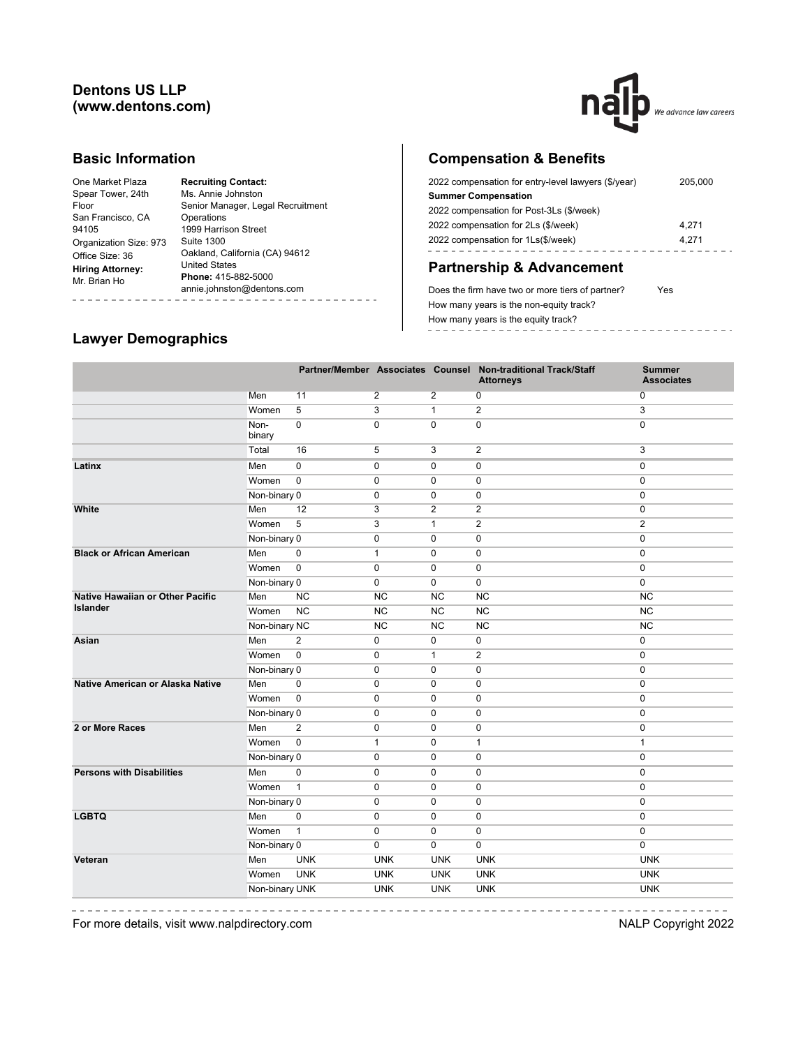#### **Dentons US LLP (www.dentons.com)**



#### **Basic Information**

## **Compensation & Benefits**

| 2022 compensation for entry-level lawyers (\$/year) | 205.000 |
|-----------------------------------------------------|---------|
| <b>Summer Compensation</b>                          |         |
| 2022 compensation for Post-3Ls (\$/week)            |         |
| 2022 compensation for 2Ls (\$/week)                 | 4.271   |
| 2022 compensation for 1Ls(\$/week)                  | 4.271   |
|                                                     |         |

# **Partnership & Advancement**

Does the firm have two or more tiers of partner? Yes How many years is the non-equity track? How many years is the equity track? \_\_\_\_\_\_\_\_\_\_\_\_\_\_\_\_\_\_

## **Lawyer Demographics**

|                                         |                |                |                |                | Partner/Member Associates Counsel Non-traditional Track/Staff<br><b>Attorneys</b> | <b>Summer</b><br><b>Associates</b> |
|-----------------------------------------|----------------|----------------|----------------|----------------|-----------------------------------------------------------------------------------|------------------------------------|
|                                         | Men            | 11             | $\overline{2}$ | 2              | 0                                                                                 | $\mathbf 0$                        |
|                                         | Women          | 5              | 3              | $\mathbf{1}$   | $\overline{2}$                                                                    | 3                                  |
|                                         | Non-<br>binary | $\mathbf 0$    | 0              | $\mathbf 0$    | 0                                                                                 | $\mathbf 0$                        |
|                                         | Total          | 16             | 5              | 3              | $\overline{2}$                                                                    | 3                                  |
| Latinx                                  | Men            | $\pmb{0}$      | 0              | 0              | $\pmb{0}$                                                                         | $\mathbf 0$                        |
|                                         | Women          | $\mathbf 0$    | $\pmb{0}$      | $\mathbf 0$    | $\mathbf 0$                                                                       | $\mathbf 0$                        |
|                                         | Non-binary 0   |                | 0              | $\mathbf 0$    | $\mathbf 0$                                                                       | 0                                  |
| White                                   | Men            | 12             | 3              | $\overline{2}$ | $\overline{2}$                                                                    | 0                                  |
|                                         | Women          | 5              | 3              | $\mathbf{1}$   | $\overline{2}$                                                                    | $\overline{2}$                     |
|                                         | Non-binary 0   |                | $\pmb{0}$      | $\mathbf 0$    | $\pmb{0}$                                                                         | $\mathbf 0$                        |
| <b>Black or African American</b>        | Men            | $\pmb{0}$      | $\mathbf{1}$   | 0              | 0                                                                                 | $\pmb{0}$                          |
|                                         | Women          | $\pmb{0}$      | $\mathbf 0$    | $\mathbf 0$    | $\mathbf 0$                                                                       | $\mathbf 0$                        |
|                                         | Non-binary 0   |                | $\mathbf 0$    | $\mathbf 0$    | $\mathbf 0$                                                                       | 0                                  |
| <b>Native Hawaiian or Other Pacific</b> | Men            | <b>NC</b>      | <b>NC</b>      | <b>NC</b>      | <b>NC</b>                                                                         | <b>NC</b>                          |
| <b>Islander</b>                         | Women          | <b>NC</b>      | NC             | <b>NC</b>      | NC                                                                                | <b>NC</b>                          |
|                                         | Non-binary NC  |                | NC             | NC             | NC                                                                                | NC                                 |
| Asian                                   | Men            | 2              | 0              | $\mathbf 0$    | $\mathbf 0$                                                                       | 0                                  |
|                                         | Women          | $\mathbf 0$    | 0              | $\mathbf{1}$   | 2                                                                                 | $\mathbf 0$                        |
|                                         | Non-binary 0   |                | $\mathbf 0$    | $\mathbf 0$    | $\mathbf 0$                                                                       | $\mathbf 0$                        |
| Native American or Alaska Native        | Men            | 0              | $\mathbf 0$    | 0              | 0                                                                                 | 0                                  |
|                                         | Women          | $\pmb{0}$      | $\mathbf 0$    | $\mathbf 0$    | 0                                                                                 | $\pmb{0}$                          |
|                                         | Non-binary 0   |                | 0              | $\mathbf 0$    | 0                                                                                 | $\mathbf 0$                        |
| 2 or More Races                         | Men            | $\overline{2}$ | $\mathbf 0$    | $\mathbf 0$    | $\mathbf 0$                                                                       | $\mathbf 0$                        |
|                                         | Women          | $\mathbf 0$    | $\mathbf{1}$   | $\mathbf 0$    | $\mathbf{1}$                                                                      | $\mathbf{1}$                       |
|                                         | Non-binary 0   |                | $\mathbf 0$    | $\mathbf 0$    | 0                                                                                 | $\pmb{0}$                          |
| <b>Persons with Disabilities</b>        | Men            | $\mathbf 0$    | 0              | 0              | $\mathbf 0$                                                                       | $\mathbf 0$                        |
|                                         | Women          | $\mathbf{1}$   | 0              | $\mathbf 0$    | 0                                                                                 | $\mathbf 0$                        |
|                                         | Non-binary 0   |                | 0              | $\mathbf 0$    | 0                                                                                 | $\mathbf 0$                        |
| <b>LGBTQ</b>                            | Men            | $\mathbf 0$    | $\mathbf 0$    | $\mathbf 0$    | $\mathbf 0$                                                                       | $\mathbf 0$                        |
|                                         | Women          | $\mathbf{1}$   | $\mathbf 0$    | $\mathbf 0$    | $\mathbf 0$                                                                       | $\mathbf 0$                        |
|                                         | Non-binary 0   |                | $\mathbf 0$    | $\mathbf 0$    | 0                                                                                 | $\mathbf 0$                        |
| Veteran                                 | Men            | <b>UNK</b>     | <b>UNK</b>     | <b>UNK</b>     | <b>UNK</b>                                                                        | <b>UNK</b>                         |
|                                         | Women          | <b>UNK</b>     | <b>UNK</b>     | <b>UNK</b>     | <b>UNK</b>                                                                        | <b>UNK</b>                         |
|                                         | Non-binary UNK |                | <b>UNK</b>     | <b>UNK</b>     | <b>UNK</b>                                                                        | <b>UNK</b>                         |
|                                         |                |                |                |                |                                                                                   |                                    |

 $\frac{1}{2}$ 

---------------For more details, visit www.nalpdirectory.com NALP Copyright 2022

 $\sim$ 

-----------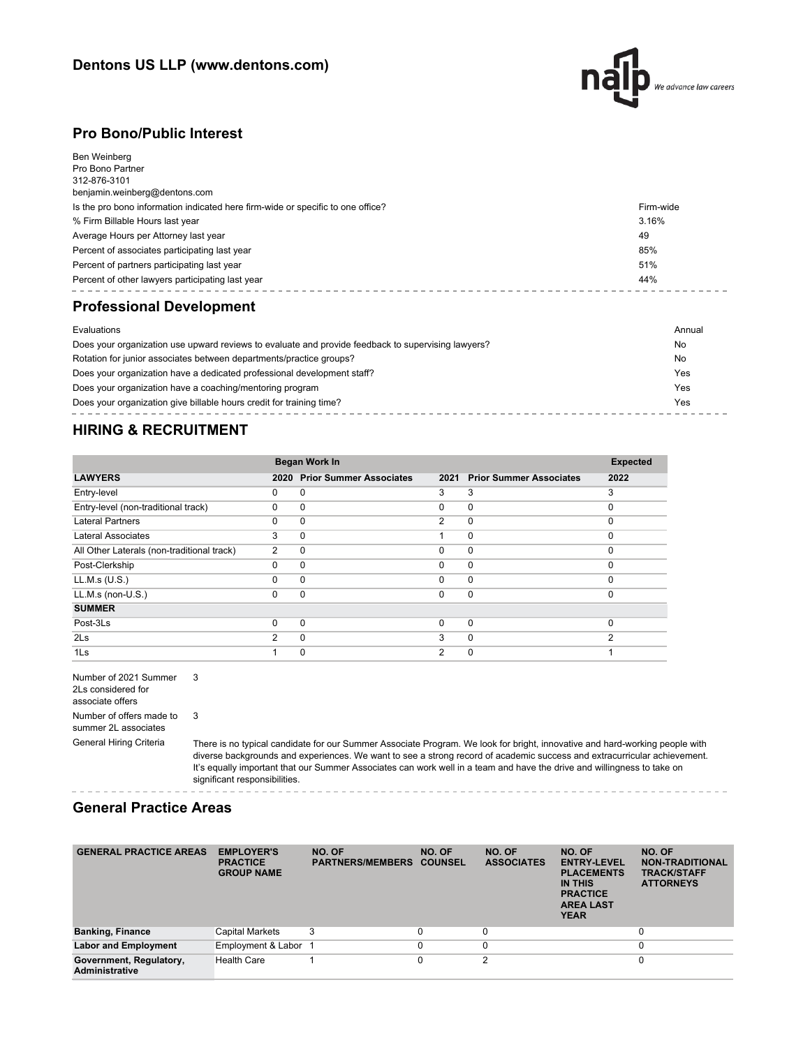

#### **Pro Bono/Public Interest**

| Ben Weinberg<br>Pro Bono Partner<br>312-876-3101<br>benjamin.weinberg@dentons.com |           |
|-----------------------------------------------------------------------------------|-----------|
| Is the pro bono information indicated here firm-wide or specific to one office?   | Firm-wide |
| % Firm Billable Hours last year                                                   | 3.16%     |
| Average Hours per Attorney last year                                              | 49        |
| Percent of associates participating last year                                     | 85%       |
| Percent of partners participating last year                                       | 51%       |
| Percent of other lawyers participating last year                                  | 44%       |
| <b>Professional Development</b>                                                   |           |
| Evaluations                                                                       | Annual    |

| Does your organization use upward reviews to evaluate and provide feedback to supervising lawyers? | No  |
|----------------------------------------------------------------------------------------------------|-----|
| Rotation for junior associates between departments/practice groups?                                | No  |
| Does your organization have a dedicated professional development staff?                            | Yes |
| Does your organization have a coaching/mentoring program                                           | Yes |
| Does your organization give billable hours credit for training time?                               | Yes |

## **HIRING & RECRUITMENT**

|                                            | Began Work In  |                                |                |                                | <b>Expected</b> |
|--------------------------------------------|----------------|--------------------------------|----------------|--------------------------------|-----------------|
| <b>LAWYERS</b>                             | 2020           | <b>Prior Summer Associates</b> | 2021           | <b>Prior Summer Associates</b> | 2022            |
| Entry-level                                | 0              | $\Omega$                       | 3              | 3                              | 3               |
| Entry-level (non-traditional track)        | $\Omega$       | 0                              | $\Omega$       | $\mathbf 0$                    | $\Omega$        |
| <b>Lateral Partners</b>                    | $\Omega$       | $\Omega$                       | $\overline{2}$ | $\mathbf 0$                    | $\Omega$        |
| Lateral Associates                         | 3              | $\Omega$                       |                | $\mathbf 0$                    | $\Omega$        |
| All Other Laterals (non-traditional track) | 2              | 0                              | $\Omega$       | $\mathbf 0$                    | $\Omega$        |
| Post-Clerkship                             | $\Omega$       | $\Omega$                       | $\Omega$       | $\mathbf 0$                    | $\Omega$        |
| LL.M.s (U.S.)                              | 0              | $\Omega$                       | $\Omega$       | $\mathbf 0$                    | $\Omega$        |
| $LL.M.s$ (non- $U.S.$ )                    | $\Omega$       | $\Omega$                       | 0              | $\mathbf 0$                    | $\Omega$        |
| <b>SUMMER</b>                              |                |                                |                |                                |                 |
| Post-3Ls                                   | $\Omega$       | $\Omega$                       | $\Omega$       | $\mathbf 0$                    | $\Omega$        |
| 2 <sub>ls</sub>                            | $\mathfrak{p}$ | $\Omega$                       | 3              | $\mathbf 0$                    | $\mathfrak{p}$  |
| 1Ls                                        |                | 0                              | $\overline{2}$ | 0                              |                 |

Number of 2021 Summer 3 2Ls considered for associate offers Number of offers made to summer 2L associates 3

General Hiring Criteria There is no typical candidate for our Summer Associate Program. We look for bright, innovative and hard-working people with diverse backgrounds and experiences. We want to see a strong record of academic success and extracurricular achievement. It's equally important that our Summer Associates can work well in a team and have the drive and willingness to take on significant responsibilities.

## **General Practice Areas**

| <b>GENERAL PRACTICE AREAS</b>                    | <b>EMPLOYER'S</b><br><b>PRACTICE</b><br><b>GROUP NAME</b> | NO. OF<br><b>PARTNERS/MEMBERS</b> | NO. OF<br><b>COUNSEL</b> | NO. OF<br><b>ASSOCIATES</b> | NO. OF<br><b>ENTRY-LEVEL</b><br><b>PLACEMENTS</b><br>IN THIS<br><b>PRACTICE</b><br><b>AREA LAST</b><br><b>YEAR</b> | NO. OF<br><b>NON-TRADITIONAL</b><br><b>TRACK/STAFF</b><br><b>ATTORNEYS</b> |
|--------------------------------------------------|-----------------------------------------------------------|-----------------------------------|--------------------------|-----------------------------|--------------------------------------------------------------------------------------------------------------------|----------------------------------------------------------------------------|
| <b>Banking, Finance</b>                          | Capital Markets                                           | 3                                 |                          | C                           |                                                                                                                    | 0                                                                          |
| <b>Labor and Employment</b>                      | Employment & Labor 1                                      |                                   |                          | 0                           |                                                                                                                    | $\mathbf 0$                                                                |
| Government, Regulatory,<br><b>Administrative</b> | <b>Health Care</b>                                        |                                   |                          | 2                           |                                                                                                                    | 0                                                                          |